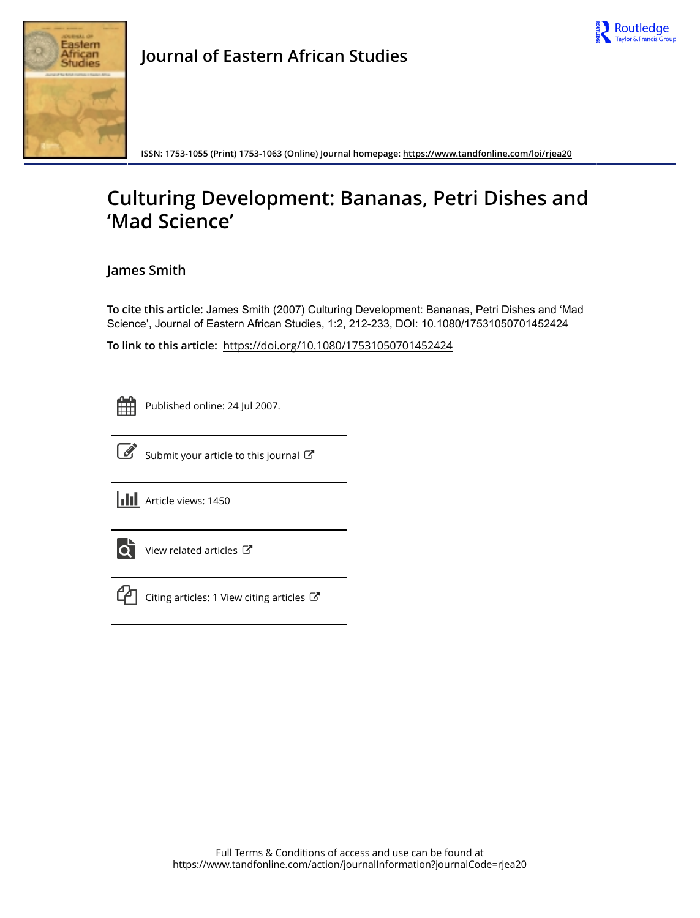



**ISSN: 1753-1055 (Print) 1753-1063 (Online) Journal homepage:<https://www.tandfonline.com/loi/rjea20>**

# **Culturing Development: Bananas, Petri Dishes and 'Mad Science'**

# **James Smith**

**To cite this article:** James Smith (2007) Culturing Development: Bananas, Petri Dishes and 'Mad Science', Journal of Eastern African Studies, 1:2, 212-233, DOI: [10.1080/17531050701452424](https://www.tandfonline.com/action/showCitFormats?doi=10.1080/17531050701452424)

**To link to this article:** <https://doi.org/10.1080/17531050701452424>

Published online: 24 Jul 2007.



 $\overrightarrow{S}$  [Submit your article to this journal](https://www.tandfonline.com/action/authorSubmission?journalCode=rjea20&show=instructions)  $\overrightarrow{S}$ 

**III** Article views: 1450



 $\overline{Q}$  [View related articles](https://www.tandfonline.com/doi/mlt/10.1080/17531050701452424)  $\overline{G}$ 



 $\Box$  [Citing articles: 1 View citing articles](https://www.tandfonline.com/doi/citedby/10.1080/17531050701452424#tabModule)  $\Box$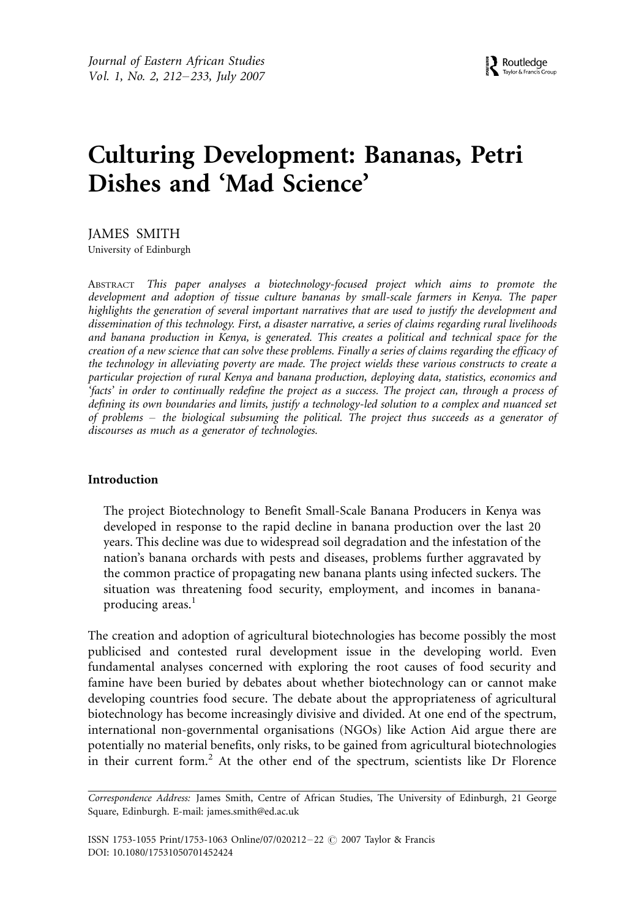# Culturing Development: Bananas, Petri Dishes and 'Mad Science'

JAMES SMITH

University of Edinburgh

ABSTRACT This paper analyses a biotechnology-focused project which aims to promote the development and adoption of tissue culture bananas by small-scale farmers in Kenya. The paper highlights the generation of several important narratives that are used to justify the development and dissemination of this technology. First, a disaster narrative, a series of claims regarding rural livelihoods and banana production in Kenya, is generated. This creates a political and technical space for the creation of a new science that can solve these problems. Finally a series of claims regarding the efficacy of the technology in alleviating poverty are made. The project wields these various constructs to create a particular projection of rural Kenya and banana production, deploying data, statistics, economics and 'facts' in order to continually redefine the project as a success. The project can, through a process of defining its own boundaries and limits, justify a technology-led solution to a complex and nuanced set of problems  $-$  the biological subsuming the political. The project thus succeeds as a generator of discourses as much as a generator of technologies.

## Introduction

The project Biotechnology to Benefit Small-Scale Banana Producers in Kenya was developed in response to the rapid decline in banana production over the last 20 years. This decline was due to widespread soil degradation and the infestation of the nation's banana orchards with pests and diseases, problems further aggravated by the common practice of propagating new banana plants using infected suckers. The situation was threatening food security, employment, and incomes in bananaproducing areas.<sup>1</sup>

The creation and adoption of agricultural biotechnologies has become possibly the most publicised and contested rural development issue in the developing world. Even fundamental analyses concerned with exploring the root causes of food security and famine have been buried by debates about whether biotechnology can or cannot make developing countries food secure. The debate about the appropriateness of agricultural biotechnology has become increasingly divisive and divided. At one end of the spectrum, international non-governmental organisations (NGOs) like Action Aid argue there are potentially no material benefits, only risks, to be gained from agricultural biotechnologies in their current form.<sup>2</sup> At the other end of the spectrum, scientists like Dr Florence

Correspondence Address: James Smith, Centre of African Studies, The University of Edinburgh, 21 George Square, Edinburgh. E-mail: james.smith@ed.ac.uk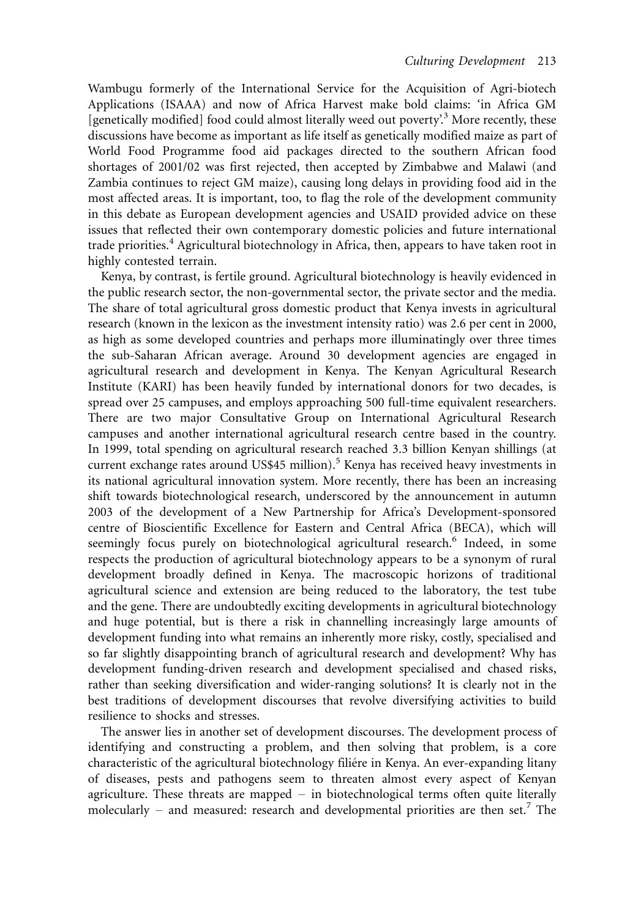Wambugu formerly of the International Service for the Acquisition of Agri-biotech Applications (ISAAA) and now of Africa Harvest make bold claims: 'in Africa GM [genetically modified] food could almost literally weed out poverty<sup>23</sup> More recently, these discussions have become as important as life itself as genetically modified maize as part of World Food Programme food aid packages directed to the southern African food shortages of 2001/02 was first rejected, then accepted by Zimbabwe and Malawi (and Zambia continues to reject GM maize), causing long delays in providing food aid in the most affected areas. It is important, too, to flag the role of the development community in this debate as European development agencies and USAID provided advice on these issues that reflected their own contemporary domestic policies and future international trade priorities.<sup>4</sup> Agricultural biotechnology in Africa, then, appears to have taken root in highly contested terrain.

Kenya, by contrast, is fertile ground. Agricultural biotechnology is heavily evidenced in the public research sector, the non-governmental sector, the private sector and the media. The share of total agricultural gross domestic product that Kenya invests in agricultural research (known in the lexicon as the investment intensity ratio) was 2.6 per cent in 2000, as high as some developed countries and perhaps more illuminatingly over three times the sub-Saharan African average. Around 30 development agencies are engaged in agricultural research and development in Kenya. The Kenyan Agricultural Research Institute (KARI) has been heavily funded by international donors for two decades, is spread over 25 campuses, and employs approaching 500 full-time equivalent researchers. There are two major Consultative Group on International Agricultural Research campuses and another international agricultural research centre based in the country. In 1999, total spending on agricultural research reached 3.3 billion Kenyan shillings (at current exchange rates around US\$45 million).<sup>5</sup> Kenya has received heavy investments in its national agricultural innovation system. More recently, there has been an increasing shift towards biotechnological research, underscored by the announcement in autumn 2003 of the development of a New Partnership for Africa's Development-sponsored centre of Bioscientific Excellence for Eastern and Central Africa (BECA), which will seemingly focus purely on biotechnological agricultural research.<sup>6</sup> Indeed, in some respects the production of agricultural biotechnology appears to be a synonym of rural development broadly defined in Kenya. The macroscopic horizons of traditional agricultural science and extension are being reduced to the laboratory, the test tube and the gene. There are undoubtedly exciting developments in agricultural biotechnology and huge potential, but is there a risk in channelling increasingly large amounts of development funding into what remains an inherently more risky, costly, specialised and so far slightly disappointing branch of agricultural research and development? Why has development funding-driven research and development specialised and chased risks, rather than seeking diversification and wider-ranging solutions? It is clearly not in the best traditions of development discourses that revolve diversifying activities to build resilience to shocks and stresses.

The answer lies in another set of development discourses. The development process of identifying and constructing a problem, and then solving that problem, is a core characteristic of the agricultural biotechnology filiére in Kenya. An ever-expanding litany of diseases, pests and pathogens seem to threaten almost every aspect of Kenyan agriculture. These threats are mapped  $-$  in biotechnological terms often quite literally molecularly  $-$  and measured: research and developmental priorities are then set.<sup>7</sup> The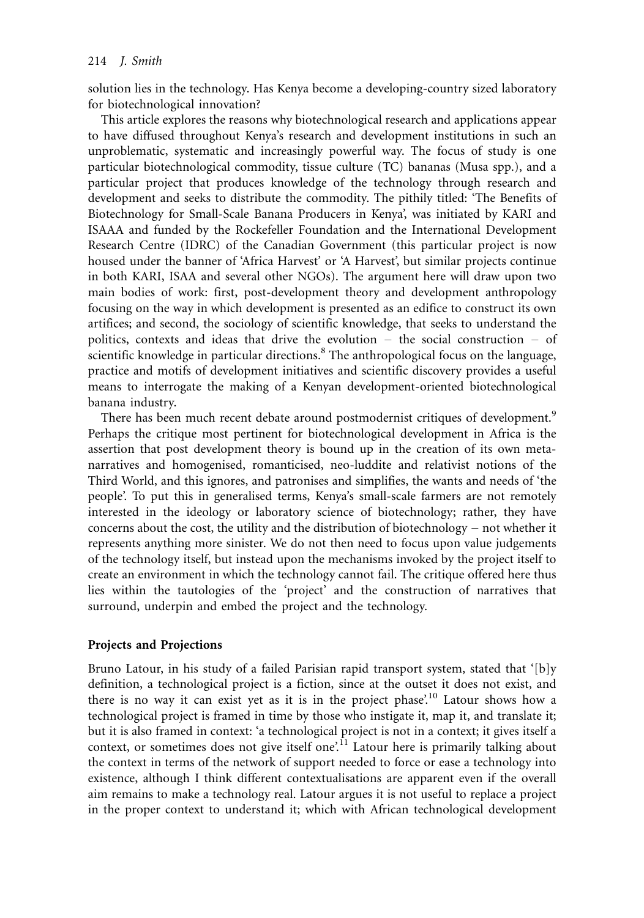solution lies in the technology. Has Kenya become a developing-country sized laboratory for biotechnological innovation?

This article explores the reasons why biotechnological research and applications appear to have diffused throughout Kenya's research and development institutions in such an unproblematic, systematic and increasingly powerful way. The focus of study is one particular biotechnological commodity, tissue culture (TC) bananas (Musa spp.), and a particular project that produces knowledge of the technology through research and development and seeks to distribute the commodity. The pithily titled: 'The Benefits of Biotechnology for Small-Scale Banana Producers in Kenya', was initiated by KARI and ISAAA and funded by the Rockefeller Foundation and the International Development Research Centre (IDRC) of the Canadian Government (this particular project is now housed under the banner of 'Africa Harvest' or 'A Harvest', but similar projects continue in both KARI, ISAA and several other NGOs). The argument here will draw upon two main bodies of work: first, post-development theory and development anthropology focusing on the way in which development is presented as an edifice to construct its own artifices; and second, the sociology of scientific knowledge, that seeks to understand the politics, contexts and ideas that drive the evolution  $-$  the social construction  $-$  of scientific knowledge in particular directions.<sup>8</sup> The anthropological focus on the language, practice and motifs of development initiatives and scientific discovery provides a useful means to interrogate the making of a Kenyan development-oriented biotechnological banana industry.

There has been much recent debate around postmodernist critiques of development.<sup>9</sup> Perhaps the critique most pertinent for biotechnological development in Africa is the assertion that post development theory is bound up in the creation of its own metanarratives and homogenised, romanticised, neo-luddite and relativist notions of the Third World, and this ignores, and patronises and simplifies, the wants and needs of 'the people'. To put this in generalised terms, Kenya's small-scale farmers are not remotely interested in the ideology or laboratory science of biotechnology; rather, they have concerns about the cost, the utility and the distribution of biotechnology  $-$  not whether it represents anything more sinister. We do not then need to focus upon value judgements of the technology itself, but instead upon the mechanisms invoked by the project itself to create an environment in which the technology cannot fail. The critique offered here thus lies within the tautologies of the 'project' and the construction of narratives that surround, underpin and embed the project and the technology.

## Projects and Projections

Bruno Latour, in his study of a failed Parisian rapid transport system, stated that '[b]y definition, a technological project is a fiction, since at the outset it does not exist, and there is no way it can exist yet as it is in the project phase'.<sup>10</sup> Latour shows how a technological project is framed in time by those who instigate it, map it, and translate it; but it is also framed in context: 'a technological project is not in a context; it gives itself a context, or sometimes does not give itself one'.<sup>11</sup> Latour here is primarily talking about the context in terms of the network of support needed to force or ease a technology into existence, although I think different contextualisations are apparent even if the overall aim remains to make a technology real. Latour argues it is not useful to replace a project in the proper context to understand it; which with African technological development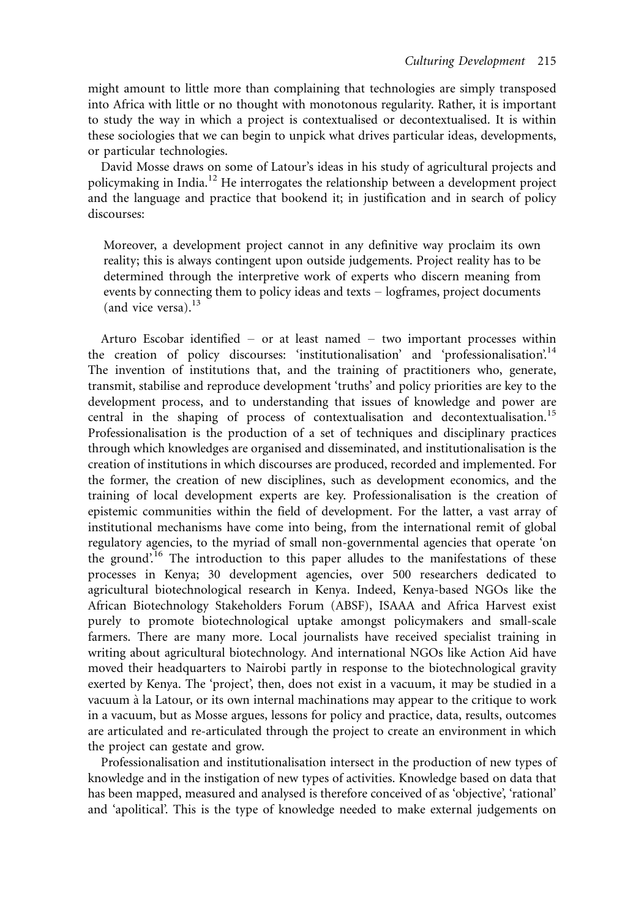might amount to little more than complaining that technologies are simply transposed into Africa with little or no thought with monotonous regularity. Rather, it is important to study the way in which a project is contextualised or decontextualised. It is within these sociologies that we can begin to unpick what drives particular ideas, developments, or particular technologies.

David Mosse draws on some of Latour's ideas in his study of agricultural projects and policymaking in India.<sup>12</sup> He interrogates the relationship between a development project and the language and practice that bookend it; in justification and in search of policy discourses:

Moreover, a development project cannot in any definitive way proclaim its own reality; this is always contingent upon outside judgements. Project reality has to be determined through the interpretive work of experts who discern meaning from events by connecting them to policy ideas and texts  $-$  logframes, project documents (and vice versa). $^{13}$ 

Arturo Escobar identified  $-$  or at least named  $-$  two important processes within the creation of policy discourses: 'institutionalisation' and 'professionalisation'.<sup>14</sup> The invention of institutions that, and the training of practitioners who, generate, transmit, stabilise and reproduce development 'truths' and policy priorities are key to the development process, and to understanding that issues of knowledge and power are central in the shaping of process of contextualisation and decontextualisation.<sup>15</sup> Professionalisation is the production of a set of techniques and disciplinary practices through which knowledges are organised and disseminated, and institutionalisation is the creation of institutions in which discourses are produced, recorded and implemented. For the former, the creation of new disciplines, such as development economics, and the training of local development experts are key. Professionalisation is the creation of epistemic communities within the field of development. For the latter, a vast array of institutional mechanisms have come into being, from the international remit of global regulatory agencies, to the myriad of small non-governmental agencies that operate 'on the ground'.<sup>16</sup> The introduction to this paper alludes to the manifestations of these processes in Kenya; 30 development agencies, over 500 researchers dedicated to agricultural biotechnological research in Kenya. Indeed, Kenya-based NGOs like the African Biotechnology Stakeholders Forum (ABSF), ISAAA and Africa Harvest exist purely to promote biotechnological uptake amongst policymakers and small-scale farmers. There are many more. Local journalists have received specialist training in writing about agricultural biotechnology. And international NGOs like Action Aid have moved their headquarters to Nairobi partly in response to the biotechnological gravity exerted by Kenya. The 'project', then, does not exist in a vacuum, it may be studied in a vacuum à la Latour, or its own internal machinations may appear to the critique to work in a vacuum, but as Mosse argues, lessons for policy and practice, data, results, outcomes are articulated and re-articulated through the project to create an environment in which the project can gestate and grow.

Professionalisation and institutionalisation intersect in the production of new types of knowledge and in the instigation of new types of activities. Knowledge based on data that has been mapped, measured and analysed is therefore conceived of as 'objective', 'rational' and 'apolitical'. This is the type of knowledge needed to make external judgements on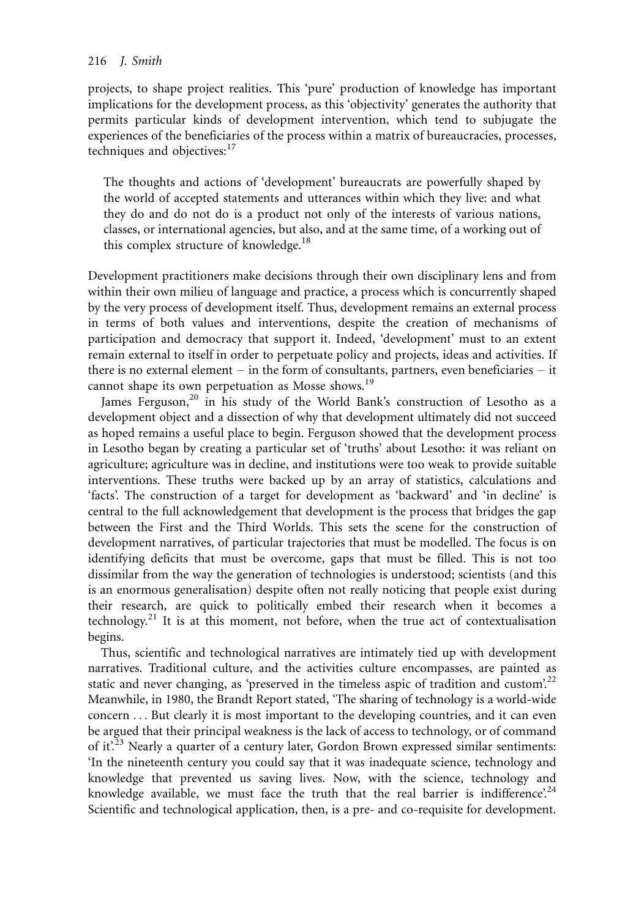## 216 J. Smith

projects, to shape project realities. This 'pure' production of knowledge has important implications for the development process, as this 'objectivity' generates the authority that permits particular kinds of development intervention, which tend to subjugate the experiences of the beneficiaries of the process within a matrix of bureaucracies, processes, techniques and objectives:<sup>17</sup>

The thoughts and actions of 'development' bureaucrats are powerfully shaped by the world of accepted statements and utterances within which they live: and what they do and do not do is a product not only of the interests of various nations, classes, or international agencies, but also, and at the same time, of a working out of this complex structure of knowledge.<sup>18</sup>

Development practitioners make decisions through their own disciplinary lens and from within their own milieu of language and practice, a process which is concurrently shaped by the very process of development itself. Thus, development remains an external process in terms of both values and interventions, despite the creation of mechanisms of participation and democracy that support it. Indeed, 'development' must to an extent remain external to itself in order to perpetuate policy and projects, ideas and activities. If there is no external element  $-$  in the form of consultants, partners, even beneficiaries  $-$  it cannot shape its own perpetuation as Mosse shows.<sup>19</sup>

James Ferguson,<sup>20</sup> in his study of the World Bank's construction of Lesotho as a development object and a dissection of why that development ultimately did not succeed as hoped remains a useful place to begin. Ferguson showed that the development process in Lesotho began by creating a particular set of 'truths' about Lesotho: it was reliant on agriculture; agriculture was in decline, and institutions were too weak to provide suitable interventions. These truths were backed up by an array of statistics, calculations and 'facts'. The construction of a target for development as 'backward' and 'in decline' is central to the full acknowledgement that development is the process that bridges the gap between the First and the Third Worlds. This sets the scene for the construction of development narratives, of particular trajectories that must be modelled. The focus is on identifying deficits that must be overcome, gaps that must be filled. This is not too dissimilar from the way the generation of technologies is understood; scientists (and this is an enormous generalisation) despite often not really noticing that people exist during their research, are quick to politically embed their research when it becomes a technology.<sup>21</sup> It is at this moment, not before, when the true act of contextualisation begins.

Thus, scientific and technological narratives are intimately tied up with development narratives. Traditional culture, and the activities culture encompasses, are painted as static and never changing, as 'preserved in the timeless aspic of tradition and custom'.<sup>22</sup> Meanwhile, in 1980, the Brandt Report stated, 'The sharing of technology is a world-wide concern ... But clearly it is most important to the developing countries, and it can even be argued that their principal weakness is the lack of access to technology, or of command of it.<sup>23</sup> Nearly a quarter of a century later, Gordon Brown expressed similar sentiments: 'In the nineteenth century you could say that it was inadequate science, technology and knowledge that prevented us saving lives. Now, with the science, technology and knowledge available, we must face the truth that the real barrier is indifference.<sup>24</sup> Scientific and technological application, then, is a pre- and co-requisite for development.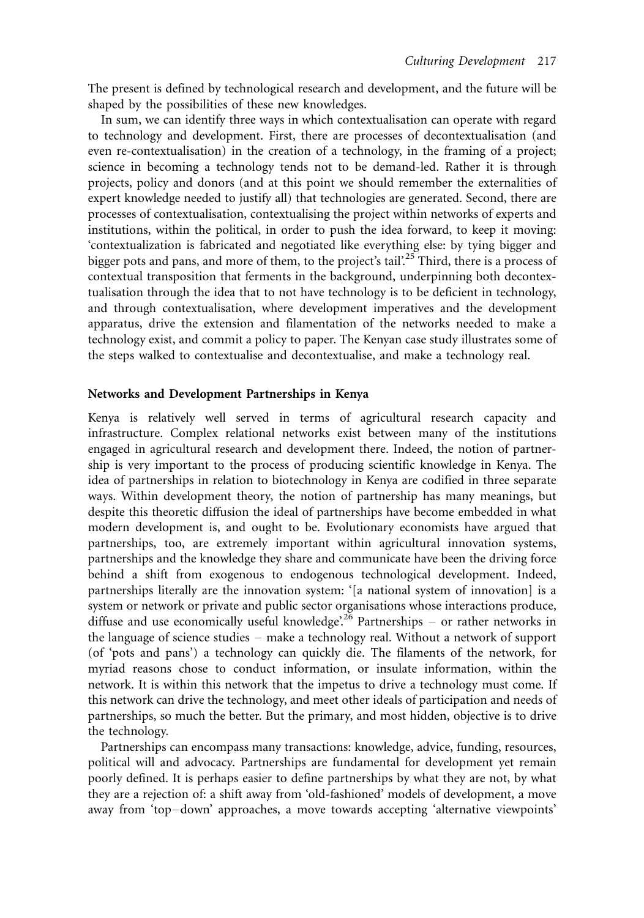The present is defined by technological research and development, and the future will be shaped by the possibilities of these new knowledges.

In sum, we can identify three ways in which contextualisation can operate with regard to technology and development. First, there are processes of decontextualisation (and even re-contextualisation) in the creation of a technology, in the framing of a project; science in becoming a technology tends not to be demand-led. Rather it is through projects, policy and donors (and at this point we should remember the externalities of expert knowledge needed to justify all) that technologies are generated. Second, there are processes of contextualisation, contextualising the project within networks of experts and institutions, within the political, in order to push the idea forward, to keep it moving: 'contextualization is fabricated and negotiated like everything else: by tying bigger and bigger pots and pans, and more of them, to the project's tail'.<sup>25</sup> Third, there is a process of contextual transposition that ferments in the background, underpinning both decontextualisation through the idea that to not have technology is to be deficient in technology, and through contextualisation, where development imperatives and the development apparatus, drive the extension and filamentation of the networks needed to make a technology exist, and commit a policy to paper. The Kenyan case study illustrates some of the steps walked to contextualise and decontextualise, and make a technology real.

#### Networks and Development Partnerships in Kenya

Kenya is relatively well served in terms of agricultural research capacity and infrastructure. Complex relational networks exist between many of the institutions engaged in agricultural research and development there. Indeed, the notion of partnership is very important to the process of producing scientific knowledge in Kenya. The idea of partnerships in relation to biotechnology in Kenya are codified in three separate ways. Within development theory, the notion of partnership has many meanings, but despite this theoretic diffusion the ideal of partnerships have become embedded in what modern development is, and ought to be. Evolutionary economists have argued that partnerships, too, are extremely important within agricultural innovation systems, partnerships and the knowledge they share and communicate have been the driving force behind a shift from exogenous to endogenous technological development. Indeed, partnerships literally are the innovation system: '[a national system of innovation] is a system or network or private and public sector organisations whose interactions produce, diffuse and use economically useful knowledge<sup>226</sup> Partnerships – or rather networks in the language of science studies - make a technology real. Without a network of support (of 'pots and pans') a technology can quickly die. The filaments of the network, for myriad reasons chose to conduct information, or insulate information, within the network. It is within this network that the impetus to drive a technology must come. If this network can drive the technology, and meet other ideals of participation and needs of partnerships, so much the better. But the primary, and most hidden, objective is to drive the technology.

Partnerships can encompass many transactions: knowledge, advice, funding, resources, political will and advocacy. Partnerships are fundamental for development yet remain poorly defined. It is perhaps easier to define partnerships by what they are not, by what they are a rejection of: a shift away from 'old-fashioned' models of development, a move away from 'top-down' approaches, a move towards accepting 'alternative viewpoints'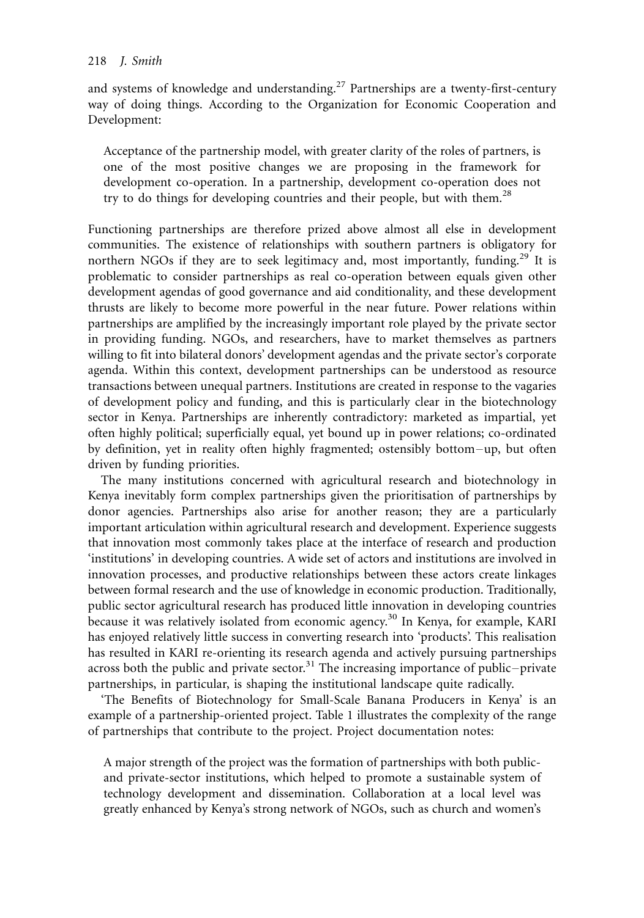and systems of knowledge and understanding.<sup>27</sup> Partnerships are a twenty-first-century way of doing things. According to the Organization for Economic Cooperation and Development:

Acceptance of the partnership model, with greater clarity of the roles of partners, is one of the most positive changes we are proposing in the framework for development co-operation. In a partnership, development co-operation does not try to do things for developing countries and their people, but with them.<sup>28</sup>

Functioning partnerships are therefore prized above almost all else in development communities. The existence of relationships with southern partners is obligatory for northern NGOs if they are to seek legitimacy and, most importantly, funding.<sup>29</sup> It is problematic to consider partnerships as real co-operation between equals given other development agendas of good governance and aid conditionality, and these development thrusts are likely to become more powerful in the near future. Power relations within partnerships are amplified by the increasingly important role played by the private sector in providing funding. NGOs, and researchers, have to market themselves as partners willing to fit into bilateral donors' development agendas and the private sector's corporate agenda. Within this context, development partnerships can be understood as resource transactions between unequal partners. Institutions are created in response to the vagaries of development policy and funding, and this is particularly clear in the biotechnology sector in Kenya. Partnerships are inherently contradictory: marketed as impartial, yet often highly political; superficially equal, yet bound up in power relations; co-ordinated by definition, yet in reality often highly fragmented; ostensibly bottom-up, but often driven by funding priorities.

The many institutions concerned with agricultural research and biotechnology in Kenya inevitably form complex partnerships given the prioritisation of partnerships by donor agencies. Partnerships also arise for another reason; they are a particularly important articulation within agricultural research and development. Experience suggests that innovation most commonly takes place at the interface of research and production 'institutions' in developing countries. A wide set of actors and institutions are involved in innovation processes, and productive relationships between these actors create linkages between formal research and the use of knowledge in economic production. Traditionally, public sector agricultural research has produced little innovation in developing countries because it was relatively isolated from economic agency.<sup>30</sup> In Kenya, for example, KARI has enjoyed relatively little success in converting research into 'products'. This realisation has resulted in KARI re-orienting its research agenda and actively pursuing partnerships across both the public and private sector.<sup>31</sup> The increasing importance of public-private partnerships, in particular, is shaping the institutional landscape quite radically.

'The Benefits of Biotechnology for Small-Scale Banana Producers in Kenya' is an example of a partnership-oriented project. Table 1 illustrates the complexity of the range of partnerships that contribute to the project. Project documentation notes:

A major strength of the project was the formation of partnerships with both publicand private-sector institutions, which helped to promote a sustainable system of technology development and dissemination. Collaboration at a local level was greatly enhanced by Kenya's strong network of NGOs, such as church and women's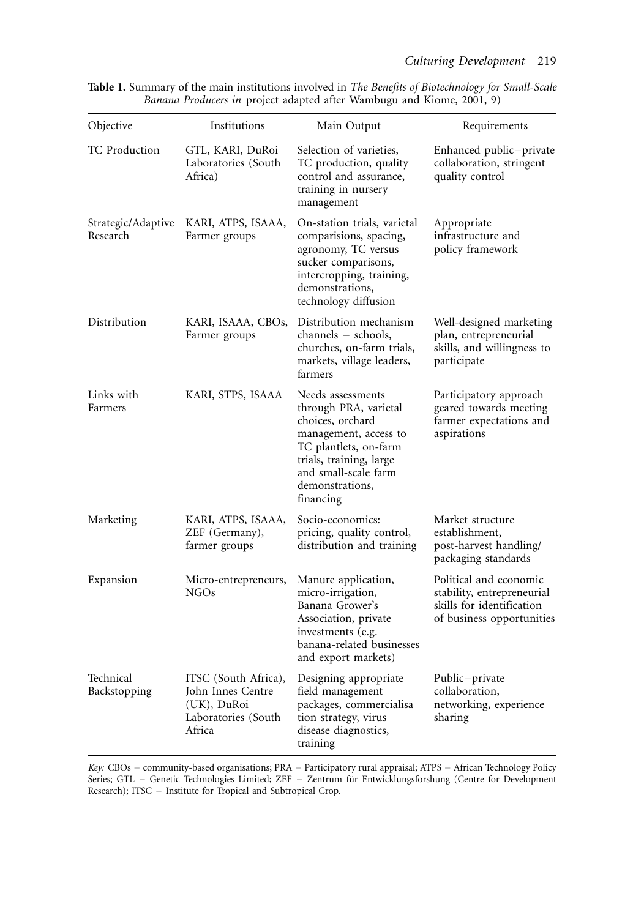| Objective                      | Institutions                                                                              | Main Output                                                                                                                                                                                         | Requirements                                                                                                   |
|--------------------------------|-------------------------------------------------------------------------------------------|-----------------------------------------------------------------------------------------------------------------------------------------------------------------------------------------------------|----------------------------------------------------------------------------------------------------------------|
| <b>TC</b> Production           | GTL, KARI, DuRoi<br>Laboratories (South<br>Africa)                                        | Selection of varieties,<br>TC production, quality<br>control and assurance,<br>training in nursery<br>management                                                                                    | Enhanced public-private<br>collaboration, stringent<br>quality control                                         |
| Strategic/Adaptive<br>Research | KARI, ATPS, ISAAA,<br>Farmer groups                                                       | On-station trials, varietal<br>comparisions, spacing,<br>agronomy, TC versus<br>sucker comparisons,<br>intercropping, training,<br>demonstrations,<br>technology diffusion                          | Appropriate<br>infrastructure and<br>policy framework                                                          |
| Distribution                   | KARI, ISAAA, CBOs,<br>Farmer groups                                                       | Distribution mechanism<br>channels - schools,<br>churches, on-farm trials,<br>markets, village leaders,<br>farmers                                                                                  | Well-designed marketing<br>plan, entrepreneurial<br>skills, and willingness to<br>participate                  |
| Links with<br>Farmers          | KARI, STPS, ISAAA                                                                         | Needs assessments<br>through PRA, varietal<br>choices, orchard<br>management, access to<br>TC plantlets, on-farm<br>trials, training, large<br>and small-scale farm<br>demonstrations,<br>financing | Participatory approach<br>geared towards meeting<br>farmer expectations and<br>aspirations                     |
| Marketing                      | KARI, ATPS, ISAAA,<br>ZEF (Germany),<br>farmer groups                                     | Socio-economics:<br>pricing, quality control,<br>distribution and training                                                                                                                          | Market structure<br>establishment,<br>post-harvest handling/<br>packaging standards                            |
| Expansion                      | Micro-entrepreneurs,<br><b>NGOs</b>                                                       | Manure application,<br>micro-irrigation,<br>Banana Grower's<br>Association, private<br>investments (e.g.<br>banana-related businesses<br>and export markets)                                        | Political and economic<br>stability, entrepreneurial<br>skills for identification<br>of business opportunities |
| Technical<br>Backstopping      | ITSC (South Africa),<br>John Innes Centre<br>(UK), DuRoi<br>Laboratories (South<br>Africa | Designing appropriate<br>field management<br>packages, commercialisa<br>tion strategy, virus<br>disease diagnostics,<br>training                                                                    | Public-private<br>collaboration,<br>networking, experience<br>sharing                                          |

Table 1. Summary of the main institutions involved in The Benefits of Biotechnology for Small-Scale Banana Producers in project adapted after Wambugu and Kiome, 2001, 9)

Key: CBOs - community-based organisations; PRA - Participatory rural appraisal; ATPS - African Technology Policy Series; GTL - Genetic Technologies Limited; ZEF - Zentrum für Entwicklungsforshung (Centre for Development Research); ITSC - Institute for Tropical and Subtropical Crop.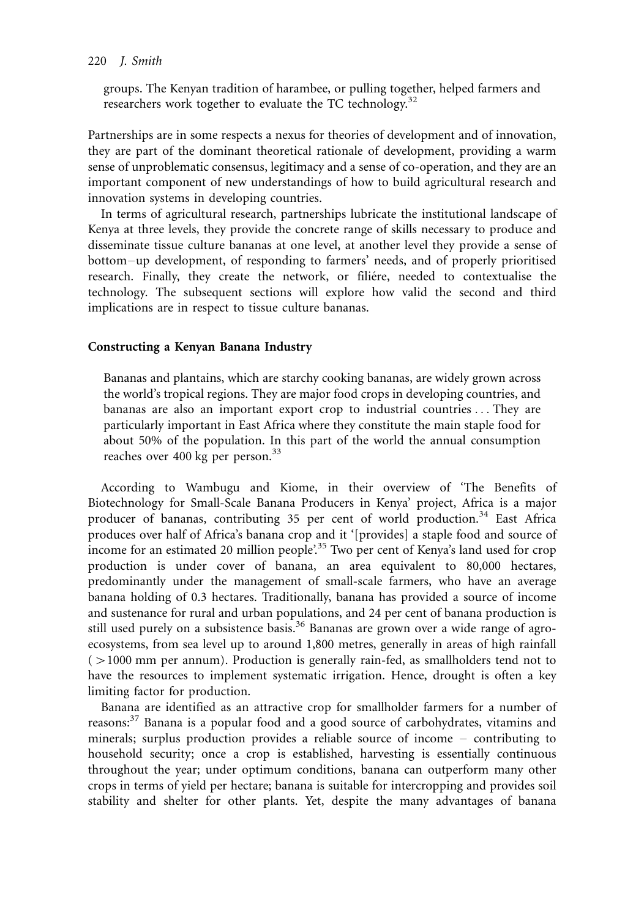#### 220 J. Smith

groups. The Kenyan tradition of harambee, or pulling together, helped farmers and researchers work together to evaluate the TC technology.<sup>32</sup>

Partnerships are in some respects a nexus for theories of development and of innovation, they are part of the dominant theoretical rationale of development, providing a warm sense of unproblematic consensus, legitimacy and a sense of co-operation, and they are an important component of new understandings of how to build agricultural research and innovation systems in developing countries.

In terms of agricultural research, partnerships lubricate the institutional landscape of Kenya at three levels, they provide the concrete range of skills necessary to produce and disseminate tissue culture bananas at one level, at another level they provide a sense of bottom-up development, of responding to farmers' needs, and of properly prioritised research. Finally, they create the network, or filiére, needed to contextualise the technology. The subsequent sections will explore how valid the second and third implications are in respect to tissue culture bananas.

#### Constructing a Kenyan Banana Industry

Bananas and plantains, which are starchy cooking bananas, are widely grown across the world's tropical regions. They are major food crops in developing countries, and bananas are also an important export crop to industrial countries ... They are particularly important in East Africa where they constitute the main staple food for about 50% of the population. In this part of the world the annual consumption reaches over 400 kg per person.<sup>33</sup>

According to Wambugu and Kiome, in their overview of 'The Benefits of Biotechnology for Small-Scale Banana Producers in Kenya' project, Africa is a major producer of bananas, contributing 35 per cent of world production.<sup>34</sup> East Africa produces over half of Africa's banana crop and it '[provides] a staple food and source of income for an estimated 20 million people'.<sup>35</sup> Two per cent of Kenya's land used for crop production is under cover of banana, an area equivalent to 80,000 hectares, predominantly under the management of small-scale farmers, who have an average banana holding of 0.3 hectares. Traditionally, banana has provided a source of income and sustenance for rural and urban populations, and 24 per cent of banana production is still used purely on a subsistence basis.<sup>36</sup> Bananas are grown over a wide range of agroecosystems, from sea level up to around 1,800 metres, generally in areas of high rainfall  $(>1000$  mm per annum). Production is generally rain-fed, as smallholders tend not to have the resources to implement systematic irrigation. Hence, drought is often a key limiting factor for production.

Banana are identified as an attractive crop for smallholder farmers for a number of reasons:<sup>37</sup> Banana is a popular food and a good source of carbohydrates, vitamins and minerals; surplus production provides a reliable source of income - contributing to household security; once a crop is established, harvesting is essentially continuous throughout the year; under optimum conditions, banana can outperform many other crops in terms of yield per hectare; banana is suitable for intercropping and provides soil stability and shelter for other plants. Yet, despite the many advantages of banana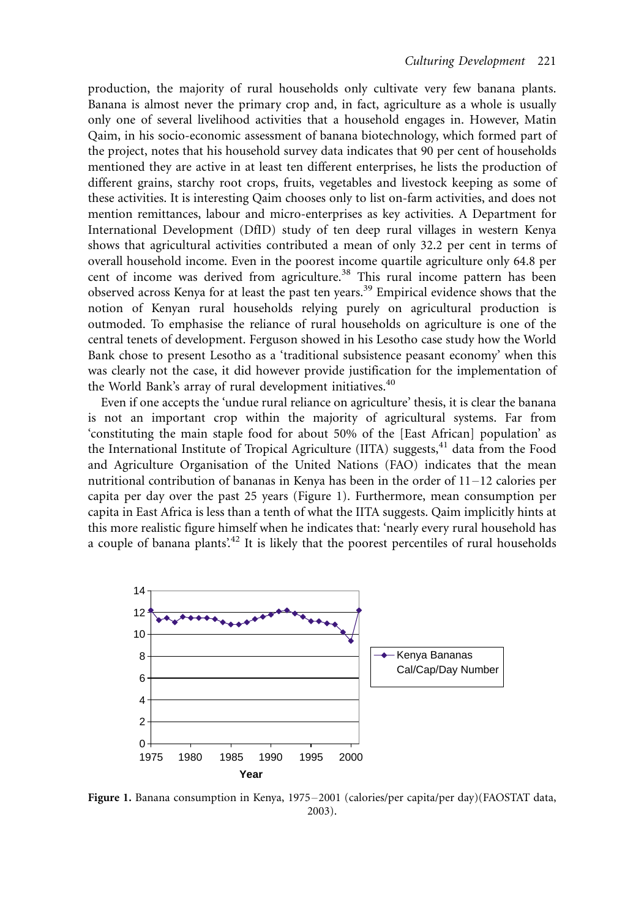production, the majority of rural households only cultivate very few banana plants. Banana is almost never the primary crop and, in fact, agriculture as a whole is usually only one of several livelihood activities that a household engages in. However, Matin Qaim, in his socio-economic assessment of banana biotechnology, which formed part of the project, notes that his household survey data indicates that 90 per cent of households mentioned they are active in at least ten different enterprises, he lists the production of different grains, starchy root crops, fruits, vegetables and livestock keeping as some of these activities. It is interesting Qaim chooses only to list on-farm activities, and does not mention remittances, labour and micro-enterprises as key activities. A Department for International Development (DfID) study of ten deep rural villages in western Kenya shows that agricultural activities contributed a mean of only 32.2 per cent in terms of overall household income. Even in the poorest income quartile agriculture only 64.8 per cent of income was derived from agriculture.<sup>38</sup> This rural income pattern has been observed across Kenya for at least the past ten years.39 Empirical evidence shows that the notion of Kenyan rural households relying purely on agricultural production is outmoded. To emphasise the reliance of rural households on agriculture is one of the central tenets of development. Ferguson showed in his Lesotho case study how the World Bank chose to present Lesotho as a 'traditional subsistence peasant economy' when this was clearly not the case, it did however provide justification for the implementation of the World Bank's array of rural development initiatives.<sup>40</sup>

Even if one accepts the 'undue rural reliance on agriculture' thesis, it is clear the banana is not an important crop within the majority of agricultural systems. Far from 'constituting the main staple food for about 50% of the [East African] population' as the International Institute of Tropical Agriculture (IITA) suggests,<sup>41</sup> data from the Food and Agriculture Organisation of the United Nations (FAO) indicates that the mean nutritional contribution of bananas in Kenya has been in the order of  $11-12$  calories per capita per day over the past 25 years (Figure 1). Furthermore, mean consumption per capita in East Africa is less than a tenth of what the IITA suggests. Qaim implicitly hints at this more realistic figure himself when he indicates that: 'nearly every rural household has a couple of banana plants<sup>242</sup> It is likely that the poorest percentiles of rural households



Figure 1. Banana consumption in Kenya,  $1975-2001$  (calories/per capita/per day)(FAOSTAT data, 2003).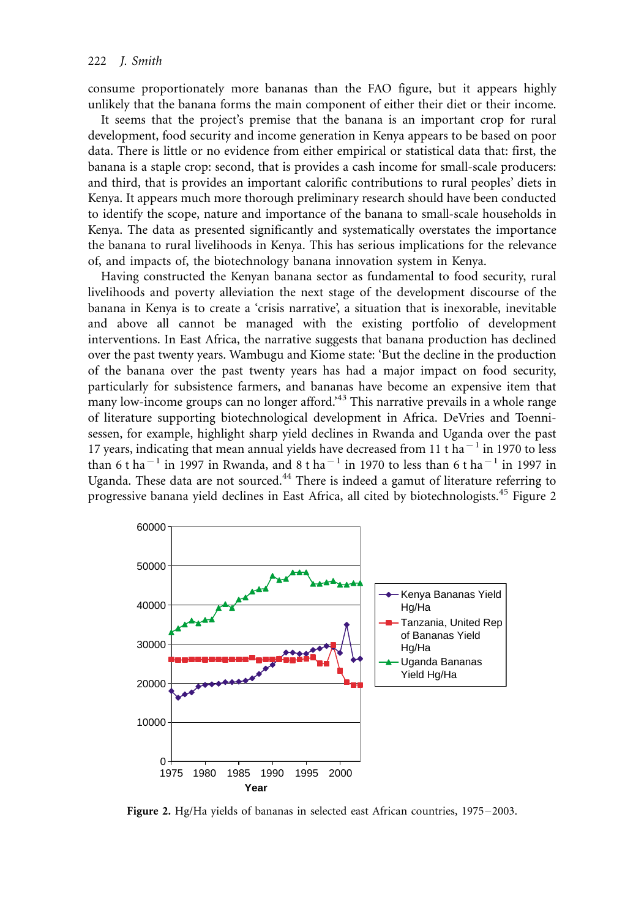consume proportionately more bananas than the FAO figure, but it appears highly unlikely that the banana forms the main component of either their diet or their income.

It seems that the project's premise that the banana is an important crop for rural development, food security and income generation in Kenya appears to be based on poor data. There is little or no evidence from either empirical or statistical data that: first, the banana is a staple crop: second, that is provides a cash income for small-scale producers: and third, that is provides an important calorific contributions to rural peoples' diets in Kenya. It appears much more thorough preliminary research should have been conducted to identify the scope, nature and importance of the banana to small-scale households in Kenya. The data as presented significantly and systematically overstates the importance the banana to rural livelihoods in Kenya. This has serious implications for the relevance of, and impacts of, the biotechnology banana innovation system in Kenya.

Having constructed the Kenyan banana sector as fundamental to food security, rural livelihoods and poverty alleviation the next stage of the development discourse of the banana in Kenya is to create a 'crisis narrative', a situation that is inexorable, inevitable and above all cannot be managed with the existing portfolio of development interventions. In East Africa, the narrative suggests that banana production has declined over the past twenty years. Wambugu and Kiome state: 'But the decline in the production of the banana over the past twenty years has had a major impact on food security, particularly for subsistence farmers, and bananas have become an expensive item that many low-income groups can no longer afford.<sup>43</sup> This narrative prevails in a whole range of literature supporting biotechnological development in Africa. DeVries and Toennisessen, for example, highlight sharp yield declines in Rwanda and Uganda over the past 17 years, indicating that mean annual yields have decreased from 11 t ha $^{-1}$  in 1970 to less than 6 t ha $^{-1}$  in 1997 in Rwanda, and 8 t ha $^{-1}$  in 1970 to less than 6 t ha $^{-1}$  in 1997 in Uganda. These data are not sourced.<sup>44</sup> There is indeed a gamut of literature referring to progressive banana yield declines in East Africa, all cited by biotechnologists.<sup>45</sup> Figure 2



Figure 2. Hg/Ha yields of bananas in selected east African countries, 1975-2003.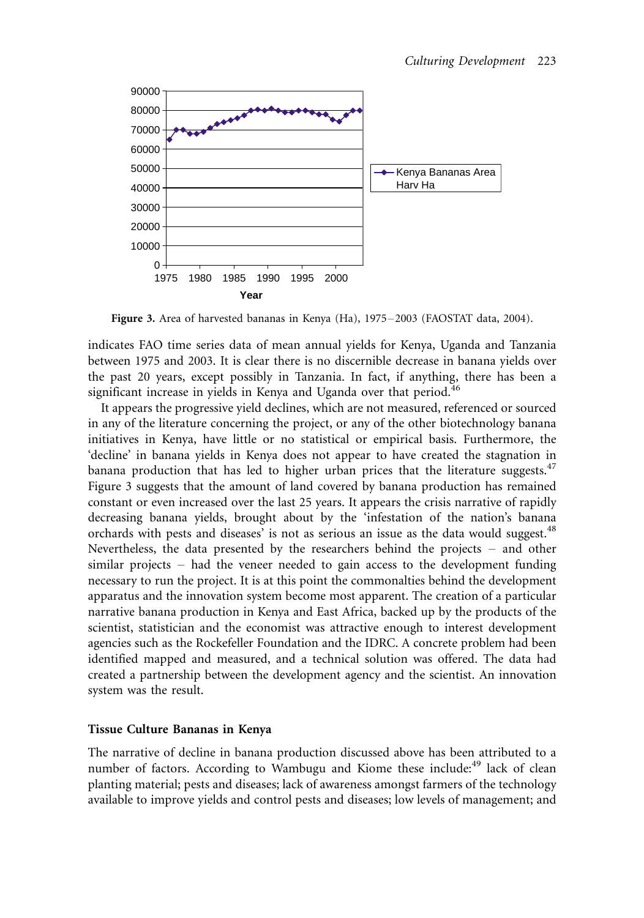

Figure 3. Area of harvested bananas in Kenya (Ha), 1975–2003 (FAOSTAT data, 2004).

indicates FAO time series data of mean annual yields for Kenya, Uganda and Tanzania between 1975 and 2003. It is clear there is no discernible decrease in banana yields over the past 20 years, except possibly in Tanzania. In fact, if anything, there has been a significant increase in yields in Kenya and Uganda over that period.<sup>46</sup>

It appears the progressive yield declines, which are not measured, referenced or sourced in any of the literature concerning the project, or any of the other biotechnology banana initiatives in Kenya, have little or no statistical or empirical basis. Furthermore, the 'decline' in banana yields in Kenya does not appear to have created the stagnation in banana production that has led to higher urban prices that the literature suggests.<sup>47</sup> Figure 3 suggests that the amount of land covered by banana production has remained constant or even increased over the last 25 years. It appears the crisis narrative of rapidly decreasing banana yields, brought about by the 'infestation of the nation's banana orchards with pests and diseases' is not as serious an issue as the data would suggest.<sup>48</sup> Nevertheless, the data presented by the researchers behind the projects  $-$  and other similar projects  $-$  had the veneer needed to gain access to the development funding necessary to run the project. It is at this point the commonalties behind the development apparatus and the innovation system become most apparent. The creation of a particular narrative banana production in Kenya and East Africa, backed up by the products of the scientist, statistician and the economist was attractive enough to interest development agencies such as the Rockefeller Foundation and the IDRC. A concrete problem had been identified mapped and measured, and a technical solution was offered. The data had created a partnership between the development agency and the scientist. An innovation system was the result.

### Tissue Culture Bananas in Kenya

The narrative of decline in banana production discussed above has been attributed to a number of factors. According to Wambugu and Kiome these include:<sup>49</sup> lack of clean planting material; pests and diseases; lack of awareness amongst farmers of the technology available to improve yields and control pests and diseases; low levels of management; and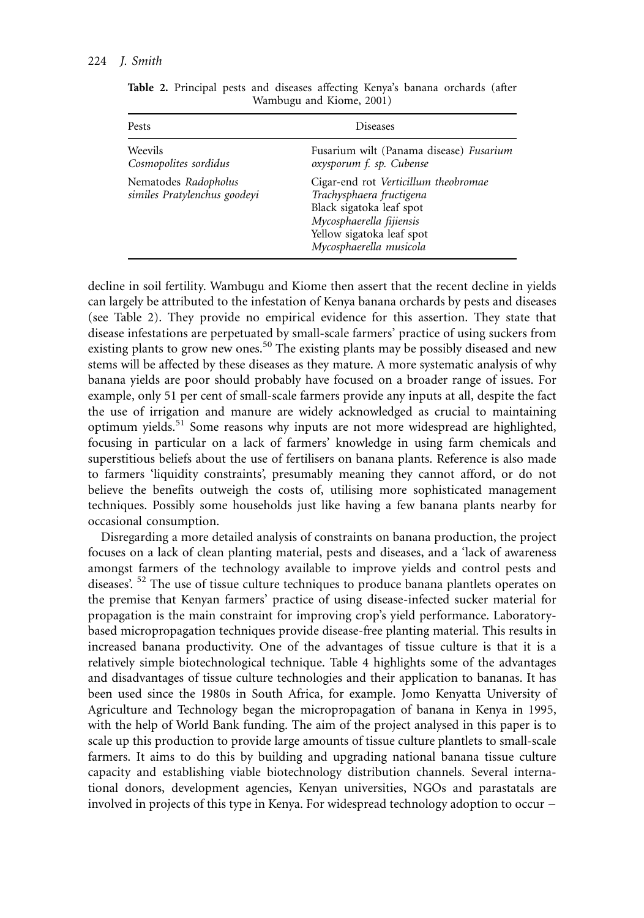| Pests                                                | <b>Diseases</b>                                                                                                                                                                  |
|------------------------------------------------------|----------------------------------------------------------------------------------------------------------------------------------------------------------------------------------|
| Weevils<br>Cosmopolites sordidus                     | Fusarium wilt (Panama disease) Fusarium<br>oxysporum f. sp. Cubense                                                                                                              |
| Nematodes Radopholus<br>similes Pratylenchus goodeyi | Cigar-end rot Verticillum theobromae<br>Trachysphaera fructigena<br>Black sigatoka leaf spot<br>Mycosphaerella fijiensis<br>Yellow sigatoka leaf spot<br>Mycosphaerella musicola |

Table 2. Principal pests and diseases affecting Kenya's banana orchards (after Wambugu and Kiome, 2001)

decline in soil fertility. Wambugu and Kiome then assert that the recent decline in yields can largely be attributed to the infestation of Kenya banana orchards by pests and diseases (see Table 2). They provide no empirical evidence for this assertion. They state that disease infestations are perpetuated by small-scale farmers' practice of using suckers from existing plants to grow new ones.<sup>50</sup> The existing plants may be possibly diseased and new stems will be affected by these diseases as they mature. A more systematic analysis of why banana yields are poor should probably have focused on a broader range of issues. For example, only 51 per cent of small-scale farmers provide any inputs at all, despite the fact the use of irrigation and manure are widely acknowledged as crucial to maintaining optimum yields.<sup>51</sup> Some reasons why inputs are not more widespread are highlighted, focusing in particular on a lack of farmers' knowledge in using farm chemicals and superstitious beliefs about the use of fertilisers on banana plants. Reference is also made to farmers 'liquidity constraints', presumably meaning they cannot afford, or do not believe the benefits outweigh the costs of, utilising more sophisticated management techniques. Possibly some households just like having a few banana plants nearby for occasional consumption.

Disregarding a more detailed analysis of constraints on banana production, the project focuses on a lack of clean planting material, pests and diseases, and a 'lack of awareness amongst farmers of the technology available to improve yields and control pests and diseases'.<sup>52</sup> The use of tissue culture techniques to produce banana plantlets operates on the premise that Kenyan farmers' practice of using disease-infected sucker material for propagation is the main constraint for improving crop's yield performance. Laboratorybased micropropagation techniques provide disease-free planting material. This results in increased banana productivity. One of the advantages of tissue culture is that it is a relatively simple biotechnological technique. Table 4 highlights some of the advantages and disadvantages of tissue culture technologies and their application to bananas. It has been used since the 1980s in South Africa, for example. Jomo Kenyatta University of Agriculture and Technology began the micropropagation of banana in Kenya in 1995, with the help of World Bank funding. The aim of the project analysed in this paper is to scale up this production to provide large amounts of tissue culture plantlets to small-scale farmers. It aims to do this by building and upgrading national banana tissue culture capacity and establishing viable biotechnology distribution channels. Several international donors, development agencies, Kenyan universities, NGOs and parastatals are involved in projects of this type in Kenya. For widespread technology adoption to occur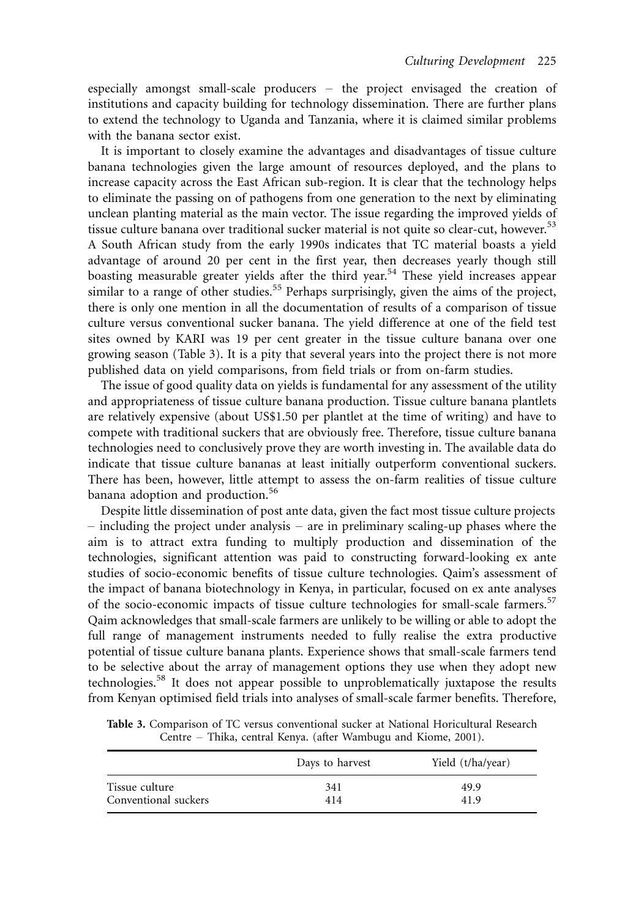especially amongst small-scale producers - the project envisaged the creation of institutions and capacity building for technology dissemination. There are further plans to extend the technology to Uganda and Tanzania, where it is claimed similar problems with the banana sector exist.

It is important to closely examine the advantages and disadvantages of tissue culture banana technologies given the large amount of resources deployed, and the plans to increase capacity across the East African sub-region. It is clear that the technology helps to eliminate the passing on of pathogens from one generation to the next by eliminating unclean planting material as the main vector. The issue regarding the improved yields of tissue culture banana over traditional sucker material is not quite so clear-cut, however.<sup>53</sup> A South African study from the early 1990s indicates that TC material boasts a yield advantage of around 20 per cent in the first year, then decreases yearly though still boasting measurable greater yields after the third year.<sup>54</sup> These yield increases appear similar to a range of other studies.<sup>55</sup> Perhaps surprisingly, given the aims of the project, there is only one mention in all the documentation of results of a comparison of tissue culture versus conventional sucker banana. The yield difference at one of the field test sites owned by KARI was 19 per cent greater in the tissue culture banana over one growing season (Table 3). It is a pity that several years into the project there is not more published data on yield comparisons, from field trials or from on-farm studies.

The issue of good quality data on yields is fundamental for any assessment of the utility and appropriateness of tissue culture banana production. Tissue culture banana plantlets are relatively expensive (about US\$1.50 per plantlet at the time of writing) and have to compete with traditional suckers that are obviously free. Therefore, tissue culture banana technologies need to conclusively prove they are worth investing in. The available data do indicate that tissue culture bananas at least initially outperform conventional suckers. There has been, however, little attempt to assess the on-farm realities of tissue culture banana adoption and production.<sup>56</sup>

Despite little dissemination of post ante data, given the fact most tissue culture projects  $-$  including the project under analysis  $-$  are in preliminary scaling-up phases where the aim is to attract extra funding to multiply production and dissemination of the technologies, significant attention was paid to constructing forward-looking ex ante studies of socio-economic benefits of tissue culture technologies. Qaim's assessment of the impact of banana biotechnology in Kenya, in particular, focused on ex ante analyses of the socio-economic impacts of tissue culture technologies for small-scale farmers.<sup>57</sup> Qaim acknowledges that small-scale farmers are unlikely to be willing or able to adopt the full range of management instruments needed to fully realise the extra productive potential of tissue culture banana plants. Experience shows that small-scale farmers tend to be selective about the array of management options they use when they adopt new technologies.<sup>58</sup> It does not appear possible to unproblematically juxtapose the results from Kenyan optimised field trials into analyses of small-scale farmer benefits. Therefore,

Table 3. Comparison of TC versus conventional sucker at National Horicultural Research Centre – Thika, central Kenya. (after Wambugu and Kiome, 2001).

|                      | Days to harvest | Yield (t/ha/year) |  |  |
|----------------------|-----------------|-------------------|--|--|
| Tissue culture       | 341             | 49.9              |  |  |
| Conventional suckers | 414             | 41.9              |  |  |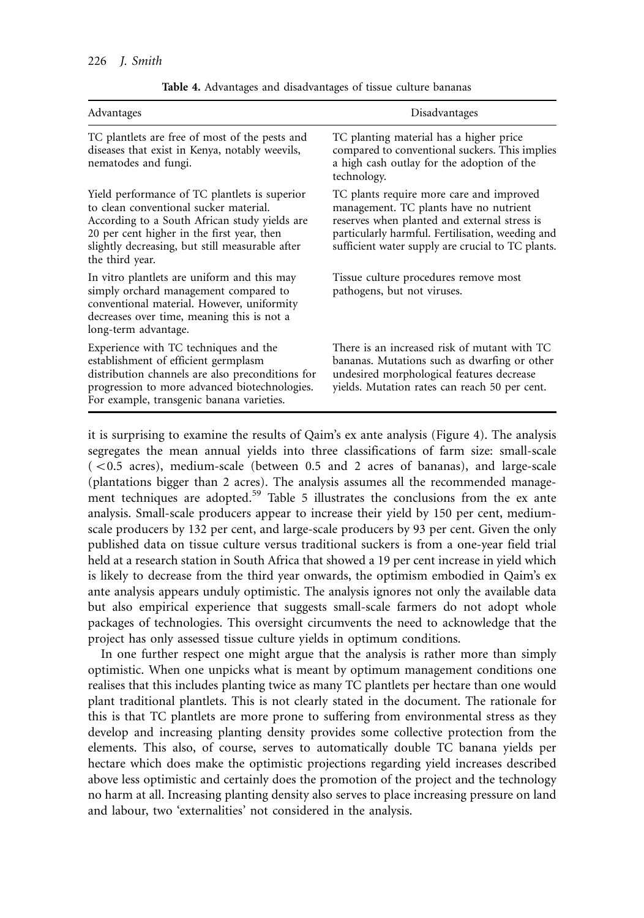| Advantages                                                                                                                                                                                                                                                   | Disadvantages                                                                                                                                                                                                                               |  |  |  |
|--------------------------------------------------------------------------------------------------------------------------------------------------------------------------------------------------------------------------------------------------------------|---------------------------------------------------------------------------------------------------------------------------------------------------------------------------------------------------------------------------------------------|--|--|--|
| TC plantlets are free of most of the pests and<br>diseases that exist in Kenya, notably weevils,<br>nematodes and fungi.                                                                                                                                     | TC planting material has a higher price<br>compared to conventional suckers. This implies<br>a high cash outlay for the adoption of the<br>technology.                                                                                      |  |  |  |
| Yield performance of TC plantlets is superior<br>to clean conventional sucker material.<br>According to a South African study yields are<br>20 per cent higher in the first year, then<br>slightly decreasing, but still measurable after<br>the third year. | TC plants require more care and improved<br>management. TC plants have no nutrient<br>reserves when planted and external stress is<br>particularly harmful. Fertilisation, weeding and<br>sufficient water supply are crucial to TC plants. |  |  |  |
| In vitro plantlets are uniform and this may<br>simply orchard management compared to<br>conventional material. However, uniformity<br>decreases over time, meaning this is not a<br>long-term advantage.                                                     | Tissue culture procedures remove most<br>pathogens, but not viruses.                                                                                                                                                                        |  |  |  |
| Experience with TC techniques and the<br>establishment of efficient germplasm<br>distribution channels are also preconditions for<br>progression to more advanced biotechnologies.<br>For example, transgenic banana varieties.                              | There is an increased risk of mutant with TC<br>bananas. Mutations such as dwarfing or other<br>undesired morphological features decrease<br>yields. Mutation rates can reach 50 per cent.                                                  |  |  |  |

Table 4. Advantages and disadvantages of tissue culture bananas

it is surprising to examine the results of Qaim's ex ante analysis (Figure 4). The analysis segregates the mean annual yields into three classifications of farm size: small-scale  $( $0.5$  acres), medium-scale (between 0.5 and 2 acres of bananas), and large-scale$ (plantations bigger than 2 acres). The analysis assumes all the recommended management techniques are adopted.<sup>59</sup> Table 5 illustrates the conclusions from the ex ante analysis. Small-scale producers appear to increase their yield by 150 per cent, mediumscale producers by 132 per cent, and large-scale producers by 93 per cent. Given the only published data on tissue culture versus traditional suckers is from a one-year field trial held at a research station in South Africa that showed a 19 per cent increase in yield which is likely to decrease from the third year onwards, the optimism embodied in Qaim's ex ante analysis appears unduly optimistic. The analysis ignores not only the available data but also empirical experience that suggests small-scale farmers do not adopt whole packages of technologies. This oversight circumvents the need to acknowledge that the project has only assessed tissue culture yields in optimum conditions.

In one further respect one might argue that the analysis is rather more than simply optimistic. When one unpicks what is meant by optimum management conditions one realises that this includes planting twice as many TC plantlets per hectare than one would plant traditional plantlets. This is not clearly stated in the document. The rationale for this is that TC plantlets are more prone to suffering from environmental stress as they develop and increasing planting density provides some collective protection from the elements. This also, of course, serves to automatically double TC banana yields per hectare which does make the optimistic projections regarding yield increases described above less optimistic and certainly does the promotion of the project and the technology no harm at all. Increasing planting density also serves to place increasing pressure on land and labour, two 'externalities' not considered in the analysis.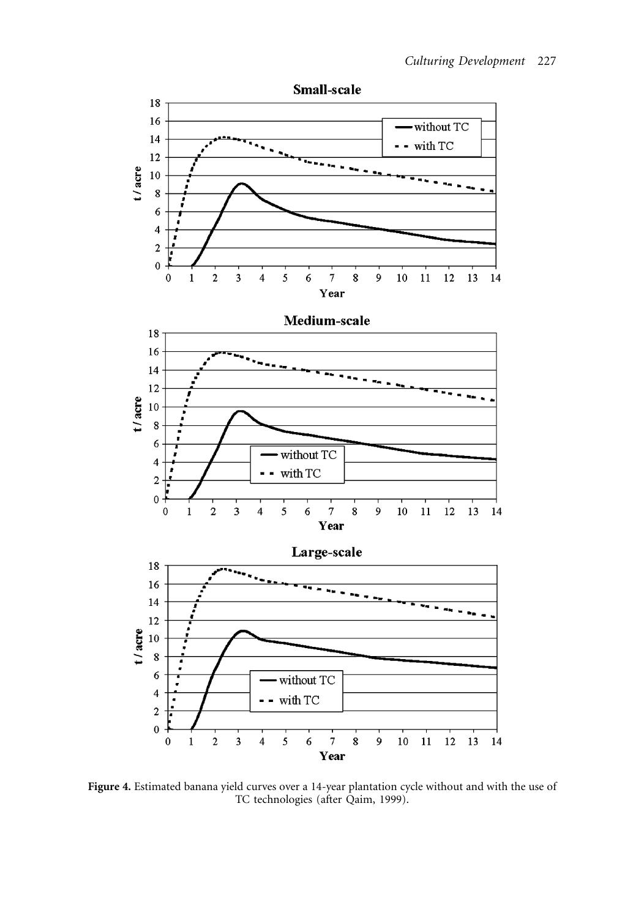

Figure 4. Estimated banana yield curves over a 14-year plantation cycle without and with the use of TC technologies (after Qaim, 1999).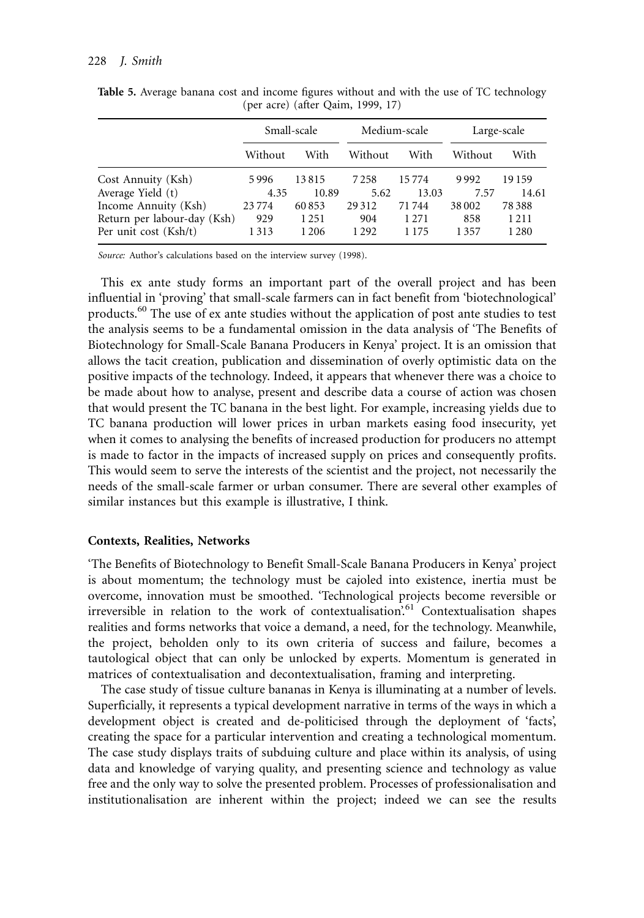|                             | Small-scale |         | Medium-scale |          | Large-scale |        |
|-----------------------------|-------------|---------|--------------|----------|-------------|--------|
|                             | Without     | With    | Without      | With     | Without     | With   |
| Cost Annuity (Ksh)          | 5996        | 13815   | 7258         | 15 7 7 4 | 9992        | 19 159 |
| Average Yield (t)           | 4.35        | 10.89   | 5.62         | 13.03    | 7.57        | 14.61  |
| Income Annuity (Ksh)        | 23774       | 60853   | 29 3 12      | 71 744   | 38 002      | 78388  |
| Return per labour-day (Ksh) | 929         | 1251    | 904          | 1 2 7 1  | 858         | 1211   |
| Per unit cost (Ksh/t)       | 1313        | 1 2 0 6 | 1 2 9 2      | 1 1 7 5  | 1357        | 1280   |

Table 5. Average banana cost and income figures without and with the use of TC technology (per acre) (after Qaim, 1999, 17)

Source: Author's calculations based on the interview survey (1998).

This ex ante study forms an important part of the overall project and has been influential in 'proving' that small-scale farmers can in fact benefit from 'biotechnological' products.<sup>60</sup> The use of ex ante studies without the application of post ante studies to test the analysis seems to be a fundamental omission in the data analysis of 'The Benefits of Biotechnology for Small-Scale Banana Producers in Kenya' project. It is an omission that allows the tacit creation, publication and dissemination of overly optimistic data on the positive impacts of the technology. Indeed, it appears that whenever there was a choice to be made about how to analyse, present and describe data a course of action was chosen that would present the TC banana in the best light. For example, increasing yields due to TC banana production will lower prices in urban markets easing food insecurity, yet when it comes to analysing the benefits of increased production for producers no attempt is made to factor in the impacts of increased supply on prices and consequently profits. This would seem to serve the interests of the scientist and the project, not necessarily the needs of the small-scale farmer or urban consumer. There are several other examples of similar instances but this example is illustrative, I think.

#### Contexts, Realities, Networks

'The Benefits of Biotechnology to Benefit Small-Scale Banana Producers in Kenya' project is about momentum; the technology must be cajoled into existence, inertia must be overcome, innovation must be smoothed. 'Technological projects become reversible or irreversible in relation to the work of contextualisation<sup>',61</sup> Contextualisation shapes realities and forms networks that voice a demand, a need, for the technology. Meanwhile, the project, beholden only to its own criteria of success and failure, becomes a tautological object that can only be unlocked by experts. Momentum is generated in matrices of contextualisation and decontextualisation, framing and interpreting.

The case study of tissue culture bananas in Kenya is illuminating at a number of levels. Superficially, it represents a typical development narrative in terms of the ways in which a development object is created and de-politicised through the deployment of 'facts', creating the space for a particular intervention and creating a technological momentum. The case study displays traits of subduing culture and place within its analysis, of using data and knowledge of varying quality, and presenting science and technology as value free and the only way to solve the presented problem. Processes of professionalisation and institutionalisation are inherent within the project; indeed we can see the results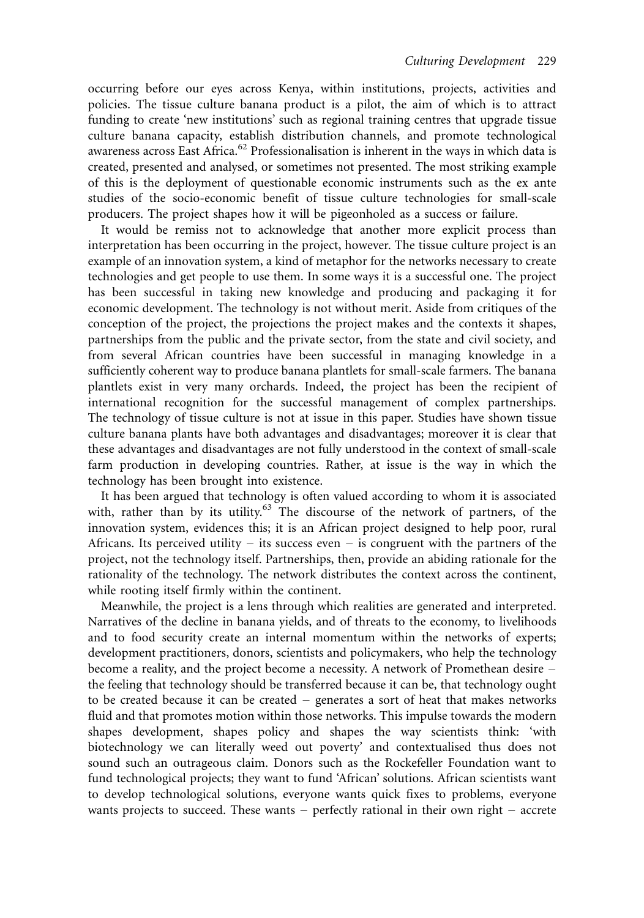occurring before our eyes across Kenya, within institutions, projects, activities and policies. The tissue culture banana product is a pilot, the aim of which is to attract funding to create 'new institutions' such as regional training centres that upgrade tissue culture banana capacity, establish distribution channels, and promote technological awareness across East Africa.<sup>62</sup> Professionalisation is inherent in the ways in which data is created, presented and analysed, or sometimes not presented. The most striking example of this is the deployment of questionable economic instruments such as the ex ante studies of the socio-economic benefit of tissue culture technologies for small-scale producers. The project shapes how it will be pigeonholed as a success or failure.

It would be remiss not to acknowledge that another more explicit process than interpretation has been occurring in the project, however. The tissue culture project is an example of an innovation system, a kind of metaphor for the networks necessary to create technologies and get people to use them. In some ways it is a successful one. The project has been successful in taking new knowledge and producing and packaging it for economic development. The technology is not without merit. Aside from critiques of the conception of the project, the projections the project makes and the contexts it shapes, partnerships from the public and the private sector, from the state and civil society, and from several African countries have been successful in managing knowledge in a sufficiently coherent way to produce banana plantlets for small-scale farmers. The banana plantlets exist in very many orchards. Indeed, the project has been the recipient of international recognition for the successful management of complex partnerships. The technology of tissue culture is not at issue in this paper. Studies have shown tissue culture banana plants have both advantages and disadvantages; moreover it is clear that these advantages and disadvantages are not fully understood in the context of small-scale farm production in developing countries. Rather, at issue is the way in which the technology has been brought into existence.

It has been argued that technology is often valued according to whom it is associated with, rather than by its utility.<sup>63</sup> The discourse of the network of partners, of the innovation system, evidences this; it is an African project designed to help poor, rural Africans. Its perceived utility  $-$  its success even  $-$  is congruent with the partners of the project, not the technology itself. Partnerships, then, provide an abiding rationale for the rationality of the technology. The network distributes the context across the continent, while rooting itself firmly within the continent.

Meanwhile, the project is a lens through which realities are generated and interpreted. Narratives of the decline in banana yields, and of threats to the economy, to livelihoods and to food security create an internal momentum within the networks of experts; development practitioners, donors, scientists and policymakers, who help the technology become a reality, and the project become a necessity. A network of Promethean desire the feeling that technology should be transferred because it can be, that technology ought to be created because it can be created  $-$  generates a sort of heat that makes networks fluid and that promotes motion within those networks. This impulse towards the modern shapes development, shapes policy and shapes the way scientists think: 'with biotechnology we can literally weed out poverty' and contextualised thus does not sound such an outrageous claim. Donors such as the Rockefeller Foundation want to fund technological projects; they want to fund 'African' solutions. African scientists want to develop technological solutions, everyone wants quick fixes to problems, everyone wants projects to succeed. These wants  $-$  perfectly rational in their own right  $-$  accrete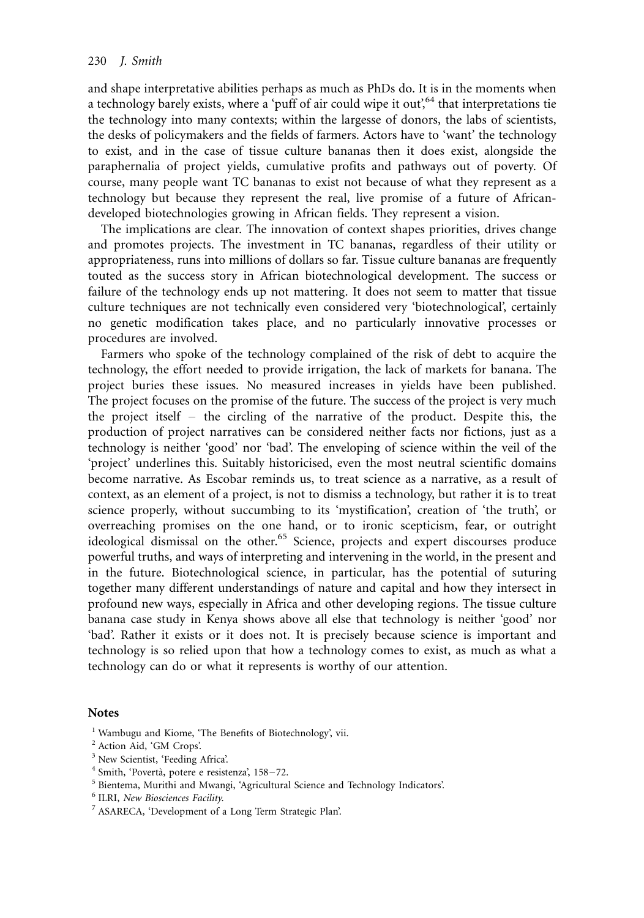and shape interpretative abilities perhaps as much as PhDs do. It is in the moments when a technology barely exists, where a 'puff of air could wipe it out',<sup>64</sup> that interpretations tie the technology into many contexts; within the largesse of donors, the labs of scientists, the desks of policymakers and the fields of farmers. Actors have to 'want' the technology to exist, and in the case of tissue culture bananas then it does exist, alongside the paraphernalia of project yields, cumulative profits and pathways out of poverty. Of course, many people want TC bananas to exist not because of what they represent as a technology but because they represent the real, live promise of a future of Africandeveloped biotechnologies growing in African fields. They represent a vision.

The implications are clear. The innovation of context shapes priorities, drives change and promotes projects. The investment in TC bananas, regardless of their utility or appropriateness, runs into millions of dollars so far. Tissue culture bananas are frequently touted as the success story in African biotechnological development. The success or failure of the technology ends up not mattering. It does not seem to matter that tissue culture techniques are not technically even considered very 'biotechnological', certainly no genetic modification takes place, and no particularly innovative processes or procedures are involved.

Farmers who spoke of the technology complained of the risk of debt to acquire the technology, the effort needed to provide irrigation, the lack of markets for banana. The project buries these issues. No measured increases in yields have been published. The project focuses on the promise of the future. The success of the project is very much the project itself  $-$  the circling of the narrative of the product. Despite this, the production of project narratives can be considered neither facts nor fictions, just as a technology is neither 'good' nor 'bad'. The enveloping of science within the veil of the 'project' underlines this. Suitably historicised, even the most neutral scientific domains become narrative. As Escobar reminds us, to treat science as a narrative, as a result of context, as an element of a project, is not to dismiss a technology, but rather it is to treat science properly, without succumbing to its 'mystification', creation of 'the truth', or overreaching promises on the one hand, or to ironic scepticism, fear, or outright ideological dismissal on the other.<sup>65</sup> Science, projects and expert discourses produce powerful truths, and ways of interpreting and intervening in the world, in the present and in the future. Biotechnological science, in particular, has the potential of suturing together many different understandings of nature and capital and how they intersect in profound new ways, especially in Africa and other developing regions. The tissue culture banana case study in Kenya shows above all else that technology is neither 'good' nor 'bad'. Rather it exists or it does not. It is precisely because science is important and technology is so relied upon that how a technology comes to exist, as much as what a technology can do or what it represents is worthy of our attention.

#### **Notes**

- <sup>1</sup> Wambugu and Kiome, 'The Benefits of Biotechnology', vii.
- <sup>2</sup> Action Aid, 'GM Crops'.
- <sup>3</sup> New Scientist, 'Feeding Africa'.
- 
- <sup>4</sup> Smith, 'Povertà, potere e resistenza', 158–72.<br><sup>5</sup> Bientema, Murithi and Mwangi, 'Agricultural Science and Technology Indicators'.
- 
- <sup>6</sup> ILRI, New Biosciences Facility. <sup>7</sup> ASARECA, 'Development of a Long Term Strategic Plan'.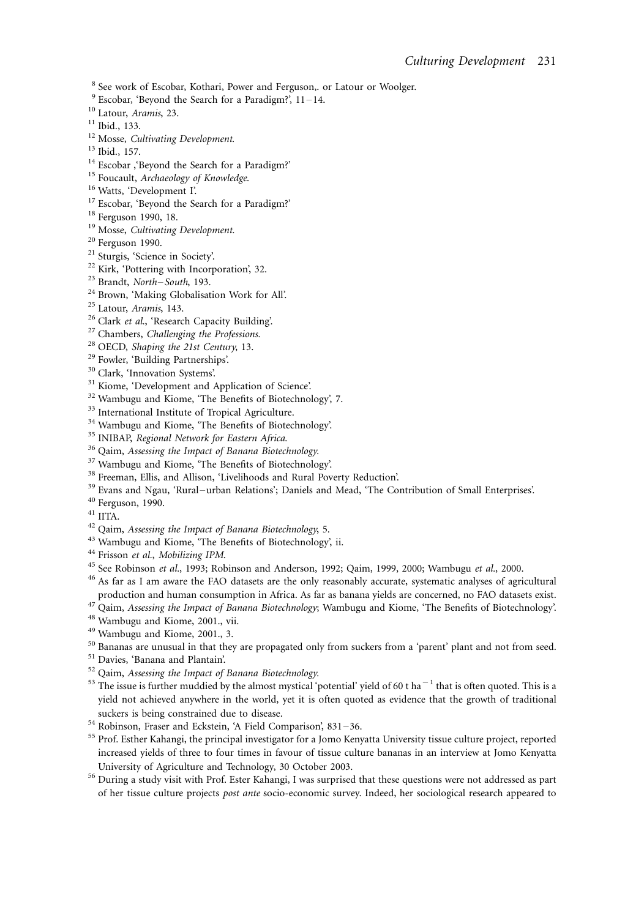<sup>8</sup> See work of Escobar, Kothari, Power and Ferguson,. or Latour or Woolger.

- 
- 
- 
- 
- 
- 
- 
- 
- 
- 
- 
- 
- 
- 
- 
- 
- 
- 
- 
- 
- 
- 
- 
- 
- 
- 
- 
- 
- 
- 
- 
- 
- 
- 
- 
- 
- 
- <sup>37</sup> Excolar, Teyrond the Search for a Paradigm?, 11-14,<br><sup>16</sup> Latout, Aramis 23.<br><sup>11</sup> Ind., 133.<br><sup>23</sup> Mose, Cadrioning *Development.*<br><sup>23</sup> Diot., 157.<br><sup>16</sup> Excolar, 32, and the Search for a Paradigm?<br><sup>24</sup> Inconsideration
- production and human consumption in Africa. As far as banana yields are concerned, no FAO datasets exist.<br>
<sup>47</sup> Qaim, *Assessing the Impact of Banana Biotechnology*; Wambugu and Kiome, 'The Benefits of Biotechnology'.<br>
<sup>48</sup>
- 
- 
- 
- 
- 
- $53$  The issue is further muddied by the almost mystical 'potential' yield of 60 t ha<sup>-1</sup> that is often quoted. This is a yield not achieved anywhere in the world, yet it is often quoted as evidence that the growth of traditional suckers is being constrained due to disease.<br><sup>54</sup> Robinson, Fraser and Eckstein, 'A Field Comparison', 831–36.<br><sup>55</sup> Prof. Esther Kahangi, the principal investigator for a Jomo Kenyatta University tissue culture project, r
- 
- increased yields of three to four times in favour of tissue culture bananas in an interview at Jomo Kenyatta
- <sup>56</sup> During a study visit with Prof. Ester Kahangi, I was surprised that these questions were not addressed as part of her tissue culture projects post ante socio-economic survey. Indeed, her sociological research appeared to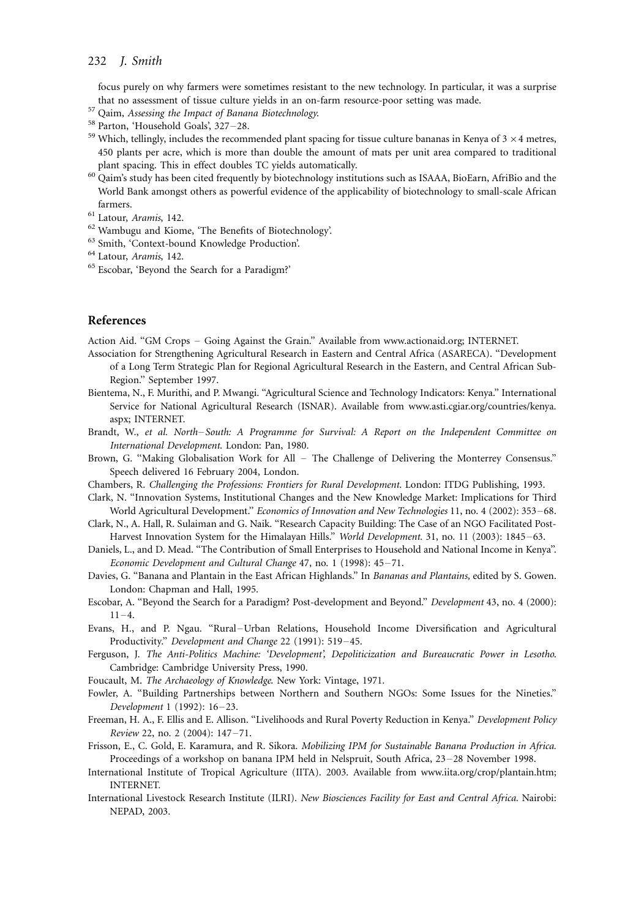#### 232 J. Smith

focus purely on why farmers were sometimes resistant to the new technology. In particular, it was a surprise

- 
- 
- that no assessment of tissue culture yields in an on-farm resource-poor setting was made.<br><sup>57</sup> Qaim, *Assessing the Impact of Banana Biotechnology.*<br><sup>58</sup> Parton, 'Household Goals', 327–28.<br><sup>59</sup> Which, tellingly, includes 450 plants per acre, which is more than double the amount of mats per unit area compared to traditional
- plant spacing. This in effect doubles TC yields automatically.  $^{60}$  Qaim's study has been cited frequently by biotechnology institutions such as ISAAA, BioEarn, AfriBio and the World Bank amongst others as powerful evidence of the applicability of biotechnology to small-scale African
- 
- farmers.<br><sup>61</sup> Latour, *Aramis*, 142.<br><sup>62</sup> Wambugu and Kiome, 'The Benefits of Biotechnology'.<br><sup>63</sup> Smith, 'Context-bound Knowledge Production'.<br><sup>64</sup> Latour, *Aramis*, 142.<br><sup>65</sup> Escobar, 'Beyond the Search for a Paradigm?'
- 
- 
- 

#### References

Action Aid. "GM Crops - Going Against the Grain." Available from www.actionaid.org; INTERNET.

- Association for Strengthening Agricultural Research in Eastern and Central Africa (ASARECA). ''Development of a Long Term Strategic Plan for Regional Agricultural Research in the Eastern, and Central African Sub-Region.'' September 1997.
- Bientema, N., F. Murithi, and P. Mwangi. ''Agricultural Science and Technology Indicators: Kenya.'' International Service for National Agricultural Research (ISNAR). Available from www.asti.cgiar.org/countries/kenya. aspx; INTERNET.
- Brandt, W., et al. North-South: A Programme for Survival: A Report on the Independent Committee on International Development. London: Pan, 1980.
- Brown, G. "Making Globalisation Work for All The Challenge of Delivering the Monterrey Consensus." Speech delivered 16 February 2004, London.
- Chambers, R. Challenging the Professions: Frontiers for Rural Development. London: ITDG Publishing, 1993.
- Clark, N. ''Innovation Systems, Institutional Changes and the New Knowledge Market: Implications for Third World Agricultural Development." Economics of Innovation and New Technologies 11, no. 4 (2002): 353-68.
- Clark, N., A. Hall, R. Sulaiman and G. Naik. ''Research Capacity Building: The Case of an NGO Facilitated Post-Harvest Innovation System for the Himalayan Hills." World Development. 31, no. 11 (2003): 1845-63.
- Daniels, L., and D. Mead. ''The Contribution of Small Enterprises to Household and National Income in Kenya''. Economic Development and Cultural Change 47, no. 1 (1998): 45-71.
- Davies, G. ''Banana and Plantain in the East African Highlands.'' In Bananas and Plantains, edited by S. Gowen. London: Chapman and Hall, 1995.
- Escobar, A. ''Beyond the Search for a Paradigm? Post-development and Beyond.'' Development 43, no. 4 (2000):  $11 - 4$
- Evans, H., and P. Ngau. "Rural-Urban Relations, Household Income Diversification and Agricultural Productivity." Development and Change 22 (1991): 519-45.
- Ferguson, J. The Anti-Politics Machine: 'Development', Depoliticization and Bureaucratic Power in Lesotho. Cambridge: Cambridge University Press, 1990.
- Foucault, M. The Archaeology of Knowledge. New York: Vintage, 1971.
- Fowler, A. ''Building Partnerships between Northern and Southern NGOs: Some Issues for the Nineties.'' Development 1 (1992): 16-23.
- Freeman, H. A., F. Ellis and E. Allison. ''Livelihoods and Rural Poverty Reduction in Kenya.'' Development Policy Review 22, no. 2 (2004): 147-71.
- Frisson, E., C. Gold, E. Karamura, and R. Sikora. Mobilizing IPM for Sustainable Banana Production in Africa. Proceedings of a workshop on banana IPM held in Nelspruit, South Africa, 23-28 November 1998.
- International Institute of Tropical Agriculture (IITA). 2003. Available from www.iita.org/crop/plantain.htm; INTERNET.
- International Livestock Research Institute (ILRI). New Biosciences Facility for East and Central Africa. Nairobi: NEPAD, 2003.